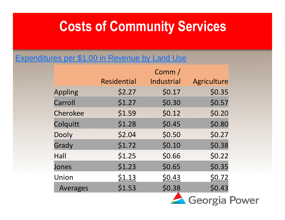#### **Costs of Community Services**

#### Expenditures per \$1.00 in Revenue by Land Use

|                 |                    | Comm/      |             |
|-----------------|--------------------|------------|-------------|
|                 | <b>Residential</b> | Industrial | Agriculture |
| <b>Appling</b>  | \$2.27             | \$0.17     | \$0.35      |
| Carroll         | \$1.27             | \$0.30     | \$0.57      |
| Cherokee        | \$1.59             | \$0.12     | \$0.20      |
| Colquitt        | \$1.28             | \$0.45     | \$0.80      |
| <b>Dooly</b>    | \$2.04             | \$0.50     | \$0.27      |
| Grady           | \$1.72             | \$0.10     | \$0.38      |
| Hall            | \$1.25             | \$0.66     | \$0.22      |
| Jones           | \$1.23             | \$0.65     | \$0.35      |
| Union           | \$1.13             | \$0.43     | \$0.72      |
| <b>Averages</b> | \$1.53             | \$0.38     | \$0.43      |
|                 |                    |            |             |

Georgia Power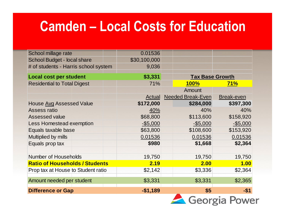#### **Camden – Local Costs for Education**

| School millage rate                   |  | 0.01536       |                          |             |
|---------------------------------------|--|---------------|--------------------------|-------------|
| School Budget - local share           |  | \$30,100,000  |                          |             |
| # of students - Harris school system  |  | 9,036         |                          |             |
| <b>Local cost per student</b>         |  | \$3,331       | <b>Tax Base Growth</b>   |             |
| <b>Residential to Total Digest</b>    |  | 71%           | <b>100%</b>              | 71%         |
|                                       |  |               | Amount                   |             |
|                                       |  | <b>Actual</b> | <b>Needed Break-Even</b> | Break-even  |
| <b>House Avg Assessed Value</b>       |  | \$172,000     | \$284,000                | \$397,300   |
| Assess ratio                          |  | 40%           | 40%                      | 40%         |
| <b>Assessed value</b>                 |  | \$68,800      | \$113,600                | \$158,920   |
| <b>Less Homestead exemption</b>       |  | $-$ \$5,000   | $-$5,000$                | $-$ \$5,000 |
| Equals taxable base                   |  | \$63,800      | \$108,600                | \$153,920   |
| Multiplied by mills                   |  | 0.01536       | 0.01536                  | 0.01536     |
| Equals prop tax                       |  | \$980         | \$1,668                  | \$2,364     |
|                                       |  |               |                          |             |
| <b>Number of Households</b>           |  | 19,750        | 19,750                   | 19,750      |
| <b>Ratio of Households / Students</b> |  | 2.19          | 2.00                     | 1.00        |
| Prop tax at House to Student ratio    |  | \$2,142       | \$3,336                  | \$2,364     |
| Amount needed per student             |  | \$3,331       | \$3,331                  | \$2,365     |
| <b>Difference or Gap</b>              |  | $-$1,189$     | \$5                      | $-$1$       |

Georgia Power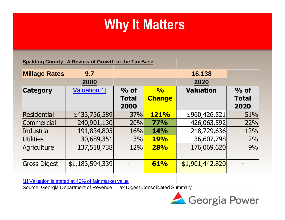|                      | <b>Spalding County - A Review of Growth in the Tax Base</b> |                      |               |                  |                      |
|----------------------|-------------------------------------------------------------|----------------------|---------------|------------------|----------------------|
| <b>Millage Rates</b> | 9.7                                                         |                      |               | 16.138           |                      |
|                      | 2000                                                        |                      |               | 2020             |                      |
| <b>Category</b>      | Valuation[1]                                                | $\%$ of              | $\frac{1}{2}$ | <b>Valuation</b> | $%$ of               |
|                      |                                                             | <b>Total</b><br>2000 | <b>Change</b> |                  | <b>Total</b><br>2020 |
| <b>Residential</b>   | \$433,736,589                                               | 37%                  | <b>121%</b>   | \$960,426,521    | 51%                  |
| Commercial           | 240,901,130                                                 | 20%                  | <b>77%</b>    | 426,063,592      | 22%                  |
| <b>Industrial</b>    | 191,834,805                                                 | 16%                  | <b>14%</b>    | 218,729,636      | 12%                  |
| <b>Utilities</b>     | 30,689,351                                                  | 3%                   | <b>19%</b>    | 36,607,798       | 2%                   |
| Agriculture          | 137,518,738                                                 | 12%                  | <b>28%</b>    | 176,069,620      | 9%                   |
|                      |                                                             |                      |               |                  |                      |
| <b>Gross Digest</b>  | \$1,183,594,339                                             |                      | 61%           | \$1,901,442,820  |                      |
|                      | [1] Valuation is stated at 40% of fair market value         |                      |               |                  |                      |

Source: Georgia Department of Revenue - Tax Digest Consolidated Summary

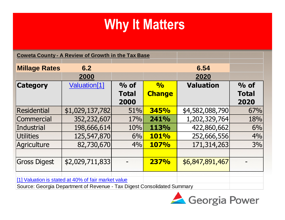| <b>Coweta County - A Review of Growth in the Tax Base</b>                                                                      |                 |                                |                                |                  |                                |
|--------------------------------------------------------------------------------------------------------------------------------|-----------------|--------------------------------|--------------------------------|------------------|--------------------------------|
| <b>Millage Rates</b>                                                                                                           | 6.2<br>2000     |                                |                                | 6.54<br>2020     |                                |
| <b>Category</b>                                                                                                                | Valuation[1]    | $%$ of<br><b>Total</b><br>2000 | $\frac{0}{0}$<br><b>Change</b> | <b>Valuation</b> | $%$ of<br><b>Total</b><br>2020 |
| Residential                                                                                                                    | \$1,029,137,782 | 51%                            | 345%                           | \$4,582,088,790  | 67%                            |
| Commercial                                                                                                                     | 352,232,607     | 17%                            | 241%                           | 1,202,329,764    | 18%                            |
| <b>Industrial</b>                                                                                                              | 198,666,614     | 10%                            | 113%                           | 422,860,662      | 6%                             |
| Utilities                                                                                                                      | 125,547,870     | 6%                             | <b>101%</b>                    | 252,666,556      | 4%                             |
| Agriculture                                                                                                                    | 82,730,670      | 4%                             | <b>107%</b>                    | 171,314,263      | 3%                             |
| <b>Gross Digest</b>                                                                                                            | \$2,029,711,833 |                                | 237%                           | \$6,847,891,467  |                                |
| [1] Valuation is stated at 40% of fair market value<br>Source: Georgia Department of Revenue - Tax Digest Consolidated Summary |                 |                                |                                |                  |                                |

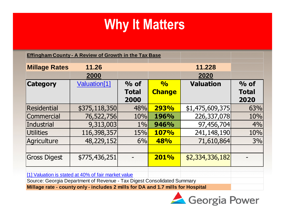|                                                                                                                                | <b>Effingham County - A Review of Growth in the Tax Base</b> |                                |                                |                  |                                |  |
|--------------------------------------------------------------------------------------------------------------------------------|--------------------------------------------------------------|--------------------------------|--------------------------------|------------------|--------------------------------|--|
| <b>Millage Rates</b>                                                                                                           | 11.26<br>2000                                                |                                |                                | 11.228<br>2020   |                                |  |
| <b>Category</b>                                                                                                                | Valuation[1]                                                 | $%$ of<br><b>Total</b><br>2000 | $\frac{1}{2}$<br><b>Change</b> | <b>Valuation</b> | $%$ of<br><b>Total</b><br>2020 |  |
| <b>Residential</b>                                                                                                             | \$375,118,350                                                | 48%                            | 293%                           | \$1,475,609,375  | 63%                            |  |
| Commercial                                                                                                                     | 76,522,756                                                   | 10%                            | 196%                           | 226,337,078      | 10%                            |  |
| Industrial                                                                                                                     | 9,313,003                                                    | $1\%$                          | 946%                           | 97,456,704       | 4%                             |  |
| Utilities                                                                                                                      | 116,398,357                                                  | 15%                            | <b>107%</b>                    | 241,148,190      | 10%                            |  |
| Agriculture                                                                                                                    | 48,229,152                                                   | 6%                             | 48%                            | 71,610,864       | 3%                             |  |
|                                                                                                                                |                                                              |                                |                                |                  |                                |  |
| <b>Gross Digest</b>                                                                                                            | \$775,436,251                                                |                                | 201%                           | \$2,334,336,182  |                                |  |
| [1] Valuation is stated at 40% of fair market value<br>Source: Georgia Department of Revenue - Tax Digest Consolidated Summary |                                                              |                                |                                |                  |                                |  |

**Millage rate - county only - includes 2 mills for DA and 1.7 mills for Hospital**

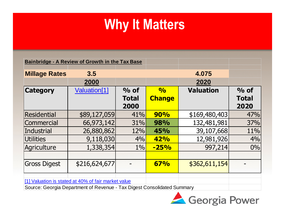|                      | <b>Bainbridge - A Review of Growth in the Tax Base</b> |                      |               |                  |                      |
|----------------------|--------------------------------------------------------|----------------------|---------------|------------------|----------------------|
| <b>Millage Rates</b> | 3.5                                                    |                      |               | 4.075            |                      |
|                      | 2000                                                   |                      |               | 2020             |                      |
| <b>Category</b>      | Valuation <sup>[1]</sup>                               | $%$ of               | $\frac{O}{O}$ | <b>Valuation</b> | $\%$ of              |
|                      |                                                        | <b>Total</b><br>2000 | <b>Change</b> |                  | <b>Total</b><br>2020 |
| Residential          | \$89,127,059                                           | 41%                  | 90%           | \$169,480,403    | 47%                  |
| Commercial           | 66,973,142                                             | <b>31%</b>           | 98%           | 132,481,981      | 37%                  |
| Industrial           | 26,880,862                                             | 12%                  | 45%           | 39,107,668       | 11%                  |
| <b>Utilities</b>     | 9,118,030                                              | 4%                   | 42%           | 12,981,926       | 4%                   |
| Agriculture          | 1,338,354                                              | $1\%$                | $-25%$        | 997,214          | 0%                   |
|                      |                                                        |                      |               |                  |                      |
| <b>Gross Digest</b>  | \$216,624,677                                          |                      | 67%           | \$362,611,154    |                      |
|                      |                                                        |                      |               |                  |                      |

[1] Valuation is stated at 40% of fair market value

Source: Georgia Department of Revenue - Tax Digest Consolidated Summary

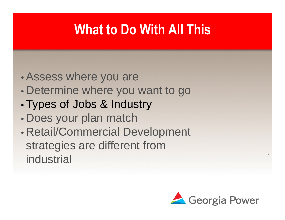## **What to Do With All This**

- •Assess where you are
- Determine where you want to go
- Types of Jobs & Industry
- Does your plan match
- Retail/Commercial Development strategies are different from industrial



7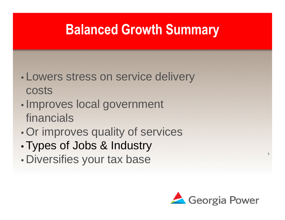#### **Balanced Growth Summary**

- Lowers stress on service delivery costs
- Improves local government financials
- Or improves quality of services
- Types of Jobs & Industry
- Diversifies your tax base



8